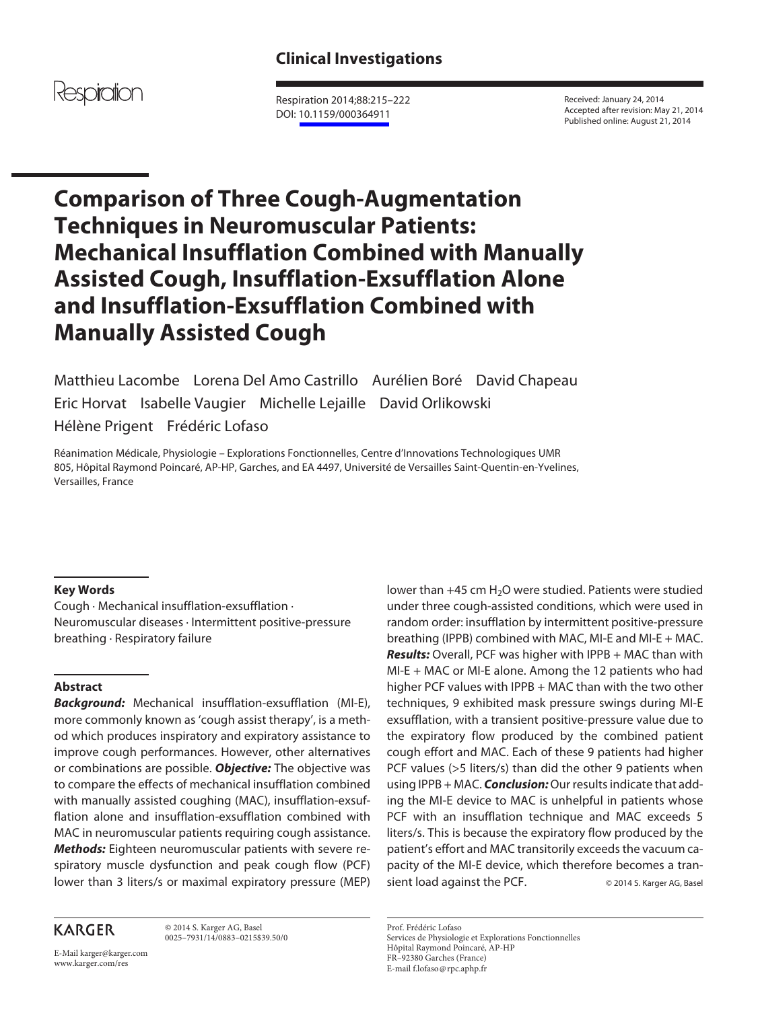

 Respiration 2014;88:215–222 DOI: [10.1159/000364911](http://dx.doi.org/10.1159%2F000364911)

 Received: January 24, 2014 Accepted after revision: May 21, 2014 Published online: August 21, 2014

# **Comparison of Three Cough-Augmentation Techniques in Neuromuscular Patients: Mechanical Insufflation Combined with Manually Assisted Cough, Insufflation-Exsufflation Alone and Insufflation-Exsufflation Combined with Manually Assisted Cough**

 Matthieu Lacombe Lorena Del Amo Castrillo Aurélien Boré David Chapeau Eric Horvat Isabelle Vaugier Michelle Lejaille David Orlikowski Hélène Prigent Frédéric Lofaso

 Réanimation Médicale, Physiologie – Explorations Fonctionnelles, Centre d'Innovations Technologiques UMR 805, Hôpital Raymond Poincaré, AP-HP, Garches , and EA 4497, Université de Versailles Saint-Quentin-en-Yvelines, Versailles, France

# **Key Words**

 Cough · Mechanical insufflation-exsufflation · Neuromuscular diseases · Intermittent positive-pressure breathing · Respiratory failure

# **Abstract**

*Background:* Mechanical insufflation-exsufflation (MI-E), more commonly known as 'cough assist therapy', is a method which produces inspiratory and expiratory assistance to improve cough performances. However, other alternatives or combinations are possible. *Objective:* The objective was to compare the effects of mechanical insufflation combined with manually assisted coughing (MAC), insufflation-exsufflation alone and insufflation-exsufflation combined with MAC in neuromuscular patients requiring cough assistance. *Methods:* Eighteen neuromuscular patients with severe respiratory muscle dysfunction and peak cough flow (PCF) lower than 3 liters/s or maximal expiratory pressure (MEP)

**KARGER** 

 © 2014 S. Karger AG, Basel 0025–7931/14/0883–0215\$39.50/0

E-Mail karger@karger.com www.karger.com/res

lower than  $+45$  cm H<sub>2</sub>O were studied. Patients were studied under three cough-assisted conditions, which were used in random order: insufflation by intermittent positive-pressure breathing (IPPB) combined with MAC, MI-E and MI-E + MAC. *Results:* Overall, PCF was higher with IPPB + MAC than with MI-E + MAC or MI-E alone. Among the 12 patients who had higher PCF values with IPPB + MAC than with the two other techniques, 9 exhibited mask pressure swings during MI-E exsufflation, with a transient positive-pressure value due to the expiratory flow produced by the combined patient cough effort and MAC. Each of these 9 patients had higher PCF values (>5 liters/s) than did the other 9 patients when using IPPB + MAC. *Conclusion:* Our results indicate that adding the MI-E device to MAC is unhelpful in patients whose PCF with an insufflation technique and MAC exceeds 5 liters/s. This is because the expiratory flow produced by the patient's effort and MAC transitorily exceeds the vacuum capacity of the MI-E device, which therefore becomes a transient load against the PCF. <br>
© 2014 S. Karger AG, Basel

 Prof. Frédéric Lofaso Services de Physiologie et Explorations Fonctionnelles Hôpital Raymond Poincaré, AP-HP FR–92380 Garches (France) E-mail f.lofaso @ rpc.aphp.fr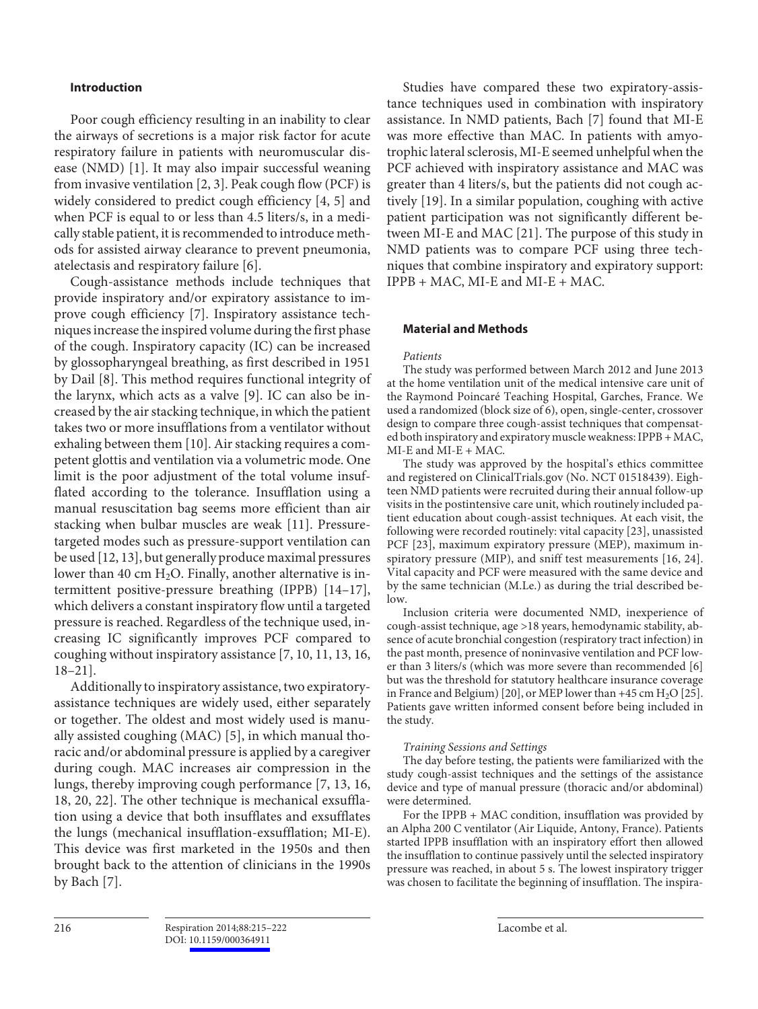# **Introduction**

 Poor cough efficiency resulting in an inability to clear the airways of secretions is a major risk factor for acute respiratory failure in patients with neuromuscular disease (NMD) [1]. It may also impair successful weaning from invasive ventilation [2, 3] . Peak cough flow (PCF) is widely considered to predict cough efficiency [4, 5] and when PCF is equal to or less than 4.5 liters/s, in a medically stable patient, it is recommended to introduce methods for assisted airway clearance to prevent pneumonia, atelectasis and respiratory failure [6] .

 Cough-assistance methods include techniques that provide inspiratory and/or expiratory assistance to improve cough efficiency [7]. Inspiratory assistance techniques increase the inspired volume during the first phase of the cough. Inspiratory capacity (IC) can be increased by glossopharyngeal breathing, as first described in 1951 by Dail [8]. This method requires functional integrity of the larynx, which acts as a valve [9]. IC can also be increased by the air stacking technique, in which the patient takes two or more insufflations from a ventilator without exhaling between them [10]. Air stacking requires a competent glottis and ventilation via a volumetric mode. One limit is the poor adjustment of the total volume insufflated according to the tolerance. Insufflation using a manual resuscitation bag seems more efficient than air stacking when bulbar muscles are weak [11]. Pressuretargeted modes such as pressure-support ventilation can be used [12, 13] , but generally produce maximal pressures lower than 40 cm  $H_2O$ . Finally, another alternative is intermittent positive-pressure breathing (IPPB) [14-17], which delivers a constant inspiratory flow until a targeted pressure is reached. Regardless of the technique used, increasing IC significantly improves PCF compared to coughing without inspiratory assistance [7, 10, 11, 13, 16,  $18-21$ ].

 Additionally to inspiratory assistance, two expiratoryassistance techniques are widely used, either separately or together. The oldest and most widely used is manually assisted coughing (MAC) [5], in which manual thoracic and/or abdominal pressure is applied by a caregiver during cough. MAC increases air compression in the lungs, thereby improving cough performance [7, 13, 16, 18, 20, 22] . The other technique is mechanical exsufflation using a device that both insufflates and exsufflates the lungs (mechanical insufflation-exsufflation; MI-E). This device was first marketed in the 1950s and then brought back to the attention of clinicians in the 1990s by Bach [7].

 Studies have compared these two expiratory-assistance techniques used in combination with inspiratory assistance. In NMD patients, Bach [7] found that MI-E was more effective than MAC. In patients with amyotrophic lateral sclerosis, MI-E seemed unhelpful when the PCF achieved with inspiratory assistance and MAC was greater than 4 liters/s, but the patients did not cough actively [19]. In a similar population, coughing with active patient participation was not significantly different between MI-E and MAC [21]. The purpose of this study in NMD patients was to compare PCF using three techniques that combine inspiratory and expiratory support: IPPB + MAC, MI-E and MI-E + MAC.

## **Material and Methods**

#### *Patients*

 The study was performed between March 2012 and June 2013 at the home ventilation unit of the medical intensive care unit of the Raymond Poincaré Teaching Hospital, Garches, France. We used a randomized (block size of 6), open, single-center, crossover design to compare three cough-assist techniques that compensated both inspiratory and expiratory muscle weakness: IPPB + MAC, MI-E and MI-E + MAC.

 The study was approved by the hospital's ethics committee and registered on ClinicalTrials.gov (No. NCT 01518439). Eighteen NMD patients were recruited during their annual follow-up visits in the postintensive care unit, which routinely included patient education about cough-assist techniques. At each visit, the following were recorded routinely: vital capacity [23], unassisted PCF [23], maximum expiratory pressure (MEP), maximum inspiratory pressure (MIP), and sniff test measurements [16, 24] . Vital capacity and PCF were measured with the same device and by the same technician (M.Le.) as during the trial described below.

 Inclusion criteria were documented NMD, inexperience of cough-assist technique, age >18 years, hemodynamic stability, absence of acute bronchial congestion (respiratory tract infection) in the past month, presence of noninvasive ventilation and PCF lower than 3 liters/s (which was more severe than recommended [6] but was the threshold for statutory healthcare insurance coverage in France and Belgium) [20], or MEP lower than +45 cm  $H_2O$  [25]. Patients gave written informed consent before being included in the study.

## *Training Sessions and Settings*

 The day before testing, the patients were familiarized with the study cough-assist techniques and the settings of the assistance device and type of manual pressure (thoracic and/or abdominal) were determined.

 For the IPPB + MAC condition, insufflation was provided by an Alpha 200 C ventilator (Air Liquide, Antony, France). Patients started IPPB insufflation with an inspiratory effort then allowed the insufflation to continue passively until the selected inspiratory pressure was reached, in about 5 s. The lowest inspiratory trigger was chosen to facilitate the beginning of insufflation. The inspira-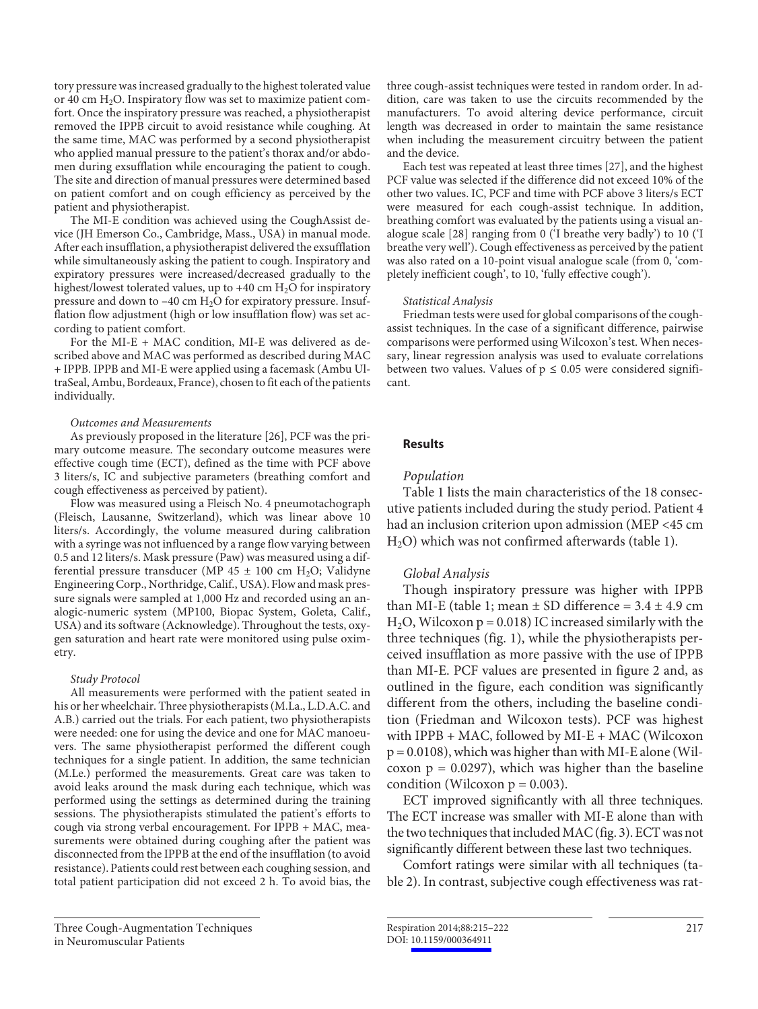tory pressure was increased gradually to the highest tolerated value or 40 cm  $H_2O$ . Inspiratory flow was set to maximize patient comfort. Once the inspiratory pressure was reached, a physiotherapist removed the IPPB circuit to avoid resistance while coughing. At the same time, MAC was performed by a second physiotherapist who applied manual pressure to the patient's thorax and/or abdomen during exsufflation while encouraging the patient to cough. The site and direction of manual pressures were determined based on patient comfort and on cough efficiency as perceived by the patient and physiotherapist.

 The MI-E condition was achieved using the CoughAssist device (JH Emerson Co., Cambridge, Mass., USA) in manual mode. After each insufflation, a physiotherapist delivered the exsufflation while simultaneously asking the patient to cough. Inspiratory and expiratory pressures were increased/decreased gradually to the highest/lowest tolerated values, up to  $+40$  cm  $H<sub>2</sub>O$  for inspiratory pressure and down to  $-40$  cm  $H<sub>2</sub>O$  for expiratory pressure. Insufflation flow adjustment (high or low insufflation flow) was set according to patient comfort.

 For the MI-E + MAC condition, MI-E was delivered as described above and MAC was performed as described during MAC + IPPB. IPPB and MI-E were applied using a facemask (Ambu UltraSeal, Ambu, Bordeaux, France), chosen to fit each of the patients individually.

## *Outcomes and Measurements*

 As previously proposed in the literature [26] , PCF was the primary outcome measure. The secondary outcome measures were effective cough time (ECT), defined as the time with PCF above 3 liters/s, IC and subjective parameters (breathing comfort and cough effectiveness as perceived by patient).

 Flow was measured using a Fleisch No. 4 pneumotachograph (Fleisch, Lausanne, Switzerland), which was linear above 10 liters/s. Accordingly, the volume measured during calibration with a syringe was not influenced by a range flow varying between 0.5 and 12 liters/s. Mask pressure (Paw) was measured using a differential pressure transducer (MP 45  $\pm$  100 cm H<sub>2</sub>O; Validyne Engineering Corp., Northridge, Calif., USA). Flow and mask pressure signals were sampled at 1,000 Hz and recorded using an analogic-numeric system (MP100, Biopac System, Goleta, Calif., USA) and its software (Acknowledge). Throughout the tests, oxygen saturation and heart rate were monitored using pulse oximetry.

## *Study Protocol*

 All measurements were performed with the patient seated in his or her wheelchair. Three physiotherapists (M.La., L.D.A.C. and A.B.) carried out the trials. For each patient, two physiotherapists were needed: one for using the device and one for MAC manoeuvers. The same physiotherapist performed the different cough techniques for a single patient. In addition, the same technician (M.Le.) performed the measurements. Great care was taken to avoid leaks around the mask during each technique, which was performed using the settings as determined during the training sessions. The physiotherapists stimulated the patient's efforts to cough via strong verbal encouragement. For IPPB + MAC, measurements were obtained during coughing after the patient was disconnected from the IPPB at the end of the insufflation (to avoid resistance). Patients could rest between each coughing session, and total patient participation did not exceed 2 h. To avoid bias, the three cough-assist techniques were tested in random order. In addition, care was taken to use the circuits recommended by the manufacturers. To avoid altering device performance, circuit length was decreased in order to maintain the same resistance when including the measurement circuitry between the patient and the device.

 Each test was repeated at least three times [27] , and the highest PCF value was selected if the difference did not exceed 10% of the other two values. IC, PCF and time with PCF above 3 liters/s ECT were measured for each cough-assist technique. In addition, breathing comfort was evaluated by the patients using a visual analogue scale [28] ranging from 0 ('I breathe very badly') to 10 ('I breathe very well'). Cough effectiveness as perceived by the patient was also rated on a 10-point visual analogue scale (from 0, 'completely inefficient cough', to 10, 'fully effective cough').

#### *Statistical Analysis*

 Friedman tests were used for global comparisons of the coughassist techniques. In the case of a significant difference, pairwise comparisons were performed using Wilcoxon's test. When necessary, linear regression analysis was used to evaluate correlations between two values. Values of  $p \le 0.05$  were considered significant.

## **Results**

## *Population*

 Table 1 lists the main characteristics of the 18 consecutive patients included during the study period. Patient 4 had an inclusion criterion upon admission (MEP <45 cm  $H<sub>2</sub>O$ ) which was not confirmed afterwards (table 1).

## *Global Analysis*

 Though inspiratory pressure was higher with IPPB than MI-E (table 1; mean  $\pm$  SD difference = 3.4  $\pm$  4.9 cm  $H<sub>2</sub>O$ , Wilcoxon p = 0.018) IC increased similarly with the three techniques (fig. 1), while the physiotherapists perceived insufflation as more passive with the use of IPPB than MI-E. PCF values are presented in figure 2 and, as outlined in the figure, each condition was significantly different from the others, including the baseline condition (Friedman and Wilcoxon tests). PCF was highest with IPPB + MAC, followed by MI-E + MAC (Wilcoxon  $p = 0.0108$ ), which was higher than with MI-E alone (Wilcoxon  $p = 0.0297$ ), which was higher than the baseline condition (Wilcoxon  $p = 0.003$ ).

 ECT improved significantly with all three techniques. The ECT increase was smaller with MI-E alone than with the two techniques that included MAC (fig. 3). ECT was not significantly different between these last two techniques.

 Comfort ratings were similar with all techniques ( table 2). In contrast, subjective cough effectiveness was rat-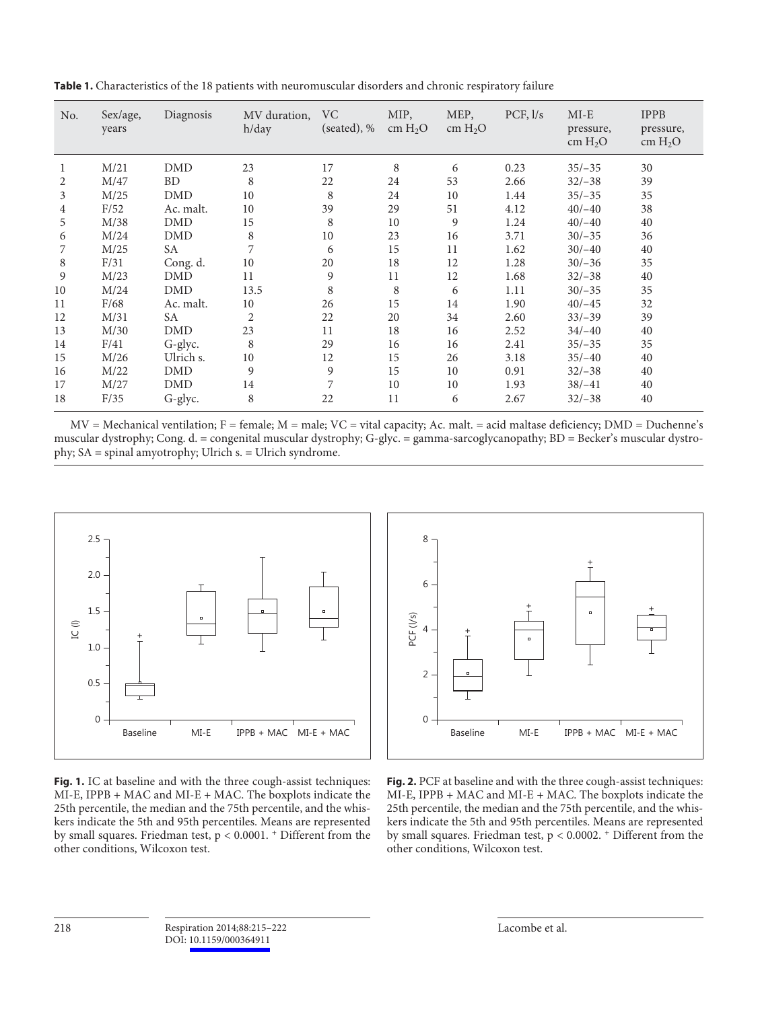| No. | Sex/age,<br>years | Diagnosis  | MV duration,<br>h/day | VC<br>(seated), % | MIP,<br>cm $H_2O$ | MEP,<br>cm $H_2O$ | PCF, 1/s | $MI-E$<br>pressure,<br>cm $H_2O$ | <b>IPPB</b><br>pressure,<br>cm $H_2O$ |
|-----|-------------------|------------|-----------------------|-------------------|-------------------|-------------------|----------|----------------------------------|---------------------------------------|
| 1   | M/21              | <b>DMD</b> | 23                    | 17                | 8                 | 6                 | 0.23     | $35/-35$                         | 30                                    |
| 2   | M/47              | <b>BD</b>  | 8                     | 22                | 24                | 53                | 2.66     | $32/-38$                         | 39                                    |
| 3   | M/25              | <b>DMD</b> | 10                    | 8                 | 24                | 10                | 1.44     | $35/-35$                         | 35                                    |
| 4   | F/52              | Ac. malt.  | 10                    | 39                | 29                | 51                | 4.12     | $40/-40$                         | 38                                    |
| 5   | M/38              | <b>DMD</b> | 15                    | 8                 | 10                | 9                 | 1.24     | $40/-40$                         | 40                                    |
| 6   | M/24              | <b>DMD</b> | 8                     | 10                | 23                | 16                | 3.71     | $30/-35$                         | 36                                    |
| 7   | M/25              | <b>SA</b>  | 7                     | 6                 | 15                | 11                | 1.62     | $30/-40$                         | 40                                    |
| 8   | F/31              | Cong. d.   | 10                    | 20                | 18                | 12                | 1.28     | $30/-36$                         | 35                                    |
| 9   | M/23              | <b>DMD</b> | 11                    | 9                 | 11                | 12                | 1.68     | $32/-38$                         | 40                                    |
| 10  | M/24              | <b>DMD</b> | 13.5                  | 8                 | 8                 | 6                 | 1.11     | $30/-35$                         | 35                                    |
| 11  | F/68              | Ac. malt.  | 10                    | 26                | 15                | 14                | 1.90     | $40/-45$                         | 32                                    |
| 12  | M/31              | SA         | $\overline{2}$        | 22                | 20                | 34                | 2.60     | $33/-39$                         | 39                                    |
| 13  | M/30              | <b>DMD</b> | 23                    | 11                | 18                | 16                | 2.52     | $34/-40$                         | 40                                    |
| 14  | F/41              | G-glyc.    | 8                     | 29                | 16                | 16                | 2.41     | $35/-35$                         | 35                                    |
| 15  | M/26              | Ulrich s.  | 10                    | 12                | 15                | 26                | 3.18     | $35/-40$                         | 40                                    |
| 16  | M/22              | <b>DMD</b> | 9                     | 9                 | 15                | 10                | 0.91     | $32/-38$                         | 40                                    |
| 17  | M/27              | <b>DMD</b> | 14                    | 7                 | 10                | 10                | 1.93     | $38/-41$                         | 40                                    |
| 18  | F/35              | G-glyc.    | 8                     | 22                | 11                | 6                 | 2.67     | $32/-38$                         | 40                                    |

 **Table 1.** Characteristics of the 18 patients with neuromuscular disorders and chronic respiratory failure

 $MV = Mechanical$  ventilation;  $F = female$ ;  $M = male$ ;  $VC = vital$  capacity; Ac. malt. = acid maltase deficiency;  $DMD = Duchenne's$ muscular dystrophy; Cong. d. = congenital muscular dystrophy; G-glyc. = gamma-sarcoglycanopathy; BD = Becker's muscular dystrophy; SA = spinal amyotrophy; Ulrich s. = Ulrich syndrome.



**Fig. 1.** IC at baseline and with the three cough-assist techniques: MI-E, IPPB + MAC and MI-E + MAC. The boxplots indicate the 25th percentile, the median and the 75th percentile, and the whiskers indicate the 5th and 95th percentiles. Means are represented by small squares. Friedman test, p < 0.0001. + Different from the other conditions, Wilcoxon test.



**Fig. 2.** PCF at baseline and with the three cough-assist techniques: MI-E, IPPB + MAC and MI-E + MAC. The boxplots indicate the 25th percentile, the median and the 75th percentile, and the whiskers indicate the 5th and 95th percentiles. Means are represented by small squares. Friedman test, p < 0.0002. + Different from the other conditions, Wilcoxon test.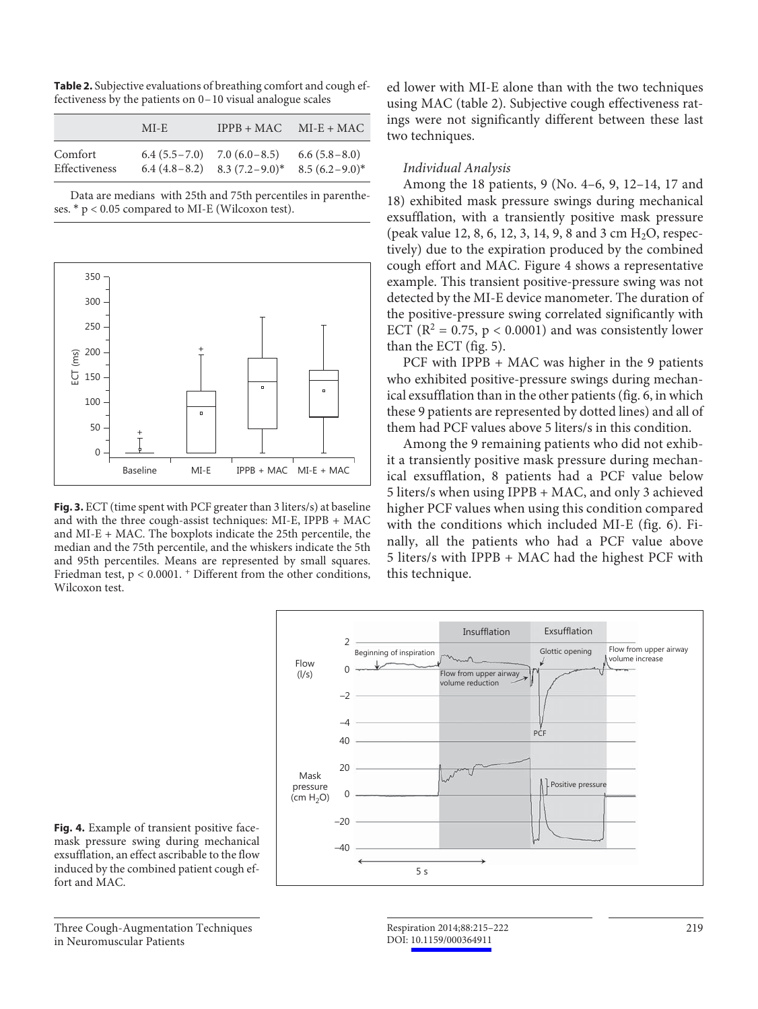**Table 2.** Subjective evaluations of breathing comfort and cough effectiveness by the patients on 0–10 visual analogue scales

|                          | MI-E                                | $IPPB + MAC$                      | $MI-E+MAC$                         |
|--------------------------|-------------------------------------|-----------------------------------|------------------------------------|
| Comfort<br>Effectiveness | $6.4 (5.5 - 7.0)$ $7.0 (6.0 - 8.5)$ | $6.4 (4.8-8.2)$ $8.3 (7.2-9.0)^*$ | $6.6(5.8-8.0)$<br>$8.5(6.2-9.0)^*$ |

 Data are medians with 25th and 75th percentiles in parentheses. \* p < 0.05 compared to MI-E (Wilcoxon test).



**Fig. 3.** ECT (time spent with PCF greater than 3 liters/s) at baseline and with the three cough-assist techniques: MI-E, IPPB + MAC and MI-E + MAC. The boxplots indicate the 25th percentile, the median and the 75th percentile, and the whiskers indicate the 5th and 95th percentiles. Means are represented by small squares. Friedman test,  $p < 0.0001$ .  $+$  Different from the other conditions, Wilcoxon test.

ed lower with MI-E alone than with the two techniques using MAC (table 2). Subjective cough effectiveness ratings were not significantly different between these last two techniques.

# *Individual Analysis*

 Among the 18 patients, 9 (No. 4–6, 9, 12–14, 17 and 18) exhibited mask pressure swings during mechanical exsufflation, with a transiently positive mask pressure (peak value 12, 8, 6, 12, 3, 14, 9, 8 and 3 cm  $H_2O$ , respectively) due to the expiration produced by the combined cough effort and MAC. Figure 4 shows a representative example. This transient positive-pressure swing was not detected by the MI-E device manometer. The duration of the positive-pressure swing correlated significantly with ECT ( $R^2 = 0.75$ ,  $p < 0.0001$ ) and was consistently lower than the ECT (fig. 5).

PCF with IPPB + MAC was higher in the 9 patients who exhibited positive-pressure swings during mechanical exsufflation than in the other patients ( fig. 6 , in which these 9 patients are represented by dotted lines) and all of them had PCF values above 5 liters/s in this condition.

 Among the 9 remaining patients who did not exhibit a transiently positive mask pressure during mechanical exsufflation, 8 patients had a PCF value below 5 liters/s when using IPPB + MAC, and only 3 achieved higher PCF values when using this condition compared with the conditions which included MI-E ( $fig. 6$ ). Finally, all the patients who had a PCF value above 5 liters/s with IPPB + MAC had the highest PCF with this technique.



**Fig. 4.** Example of transient positive facemask pressure swing during mechanical exsufflation, an effect ascribable to the flow induced by the combined patient cough effort and MAC.

 Three Cough-Augmentation Techniques in Neuromuscular Patients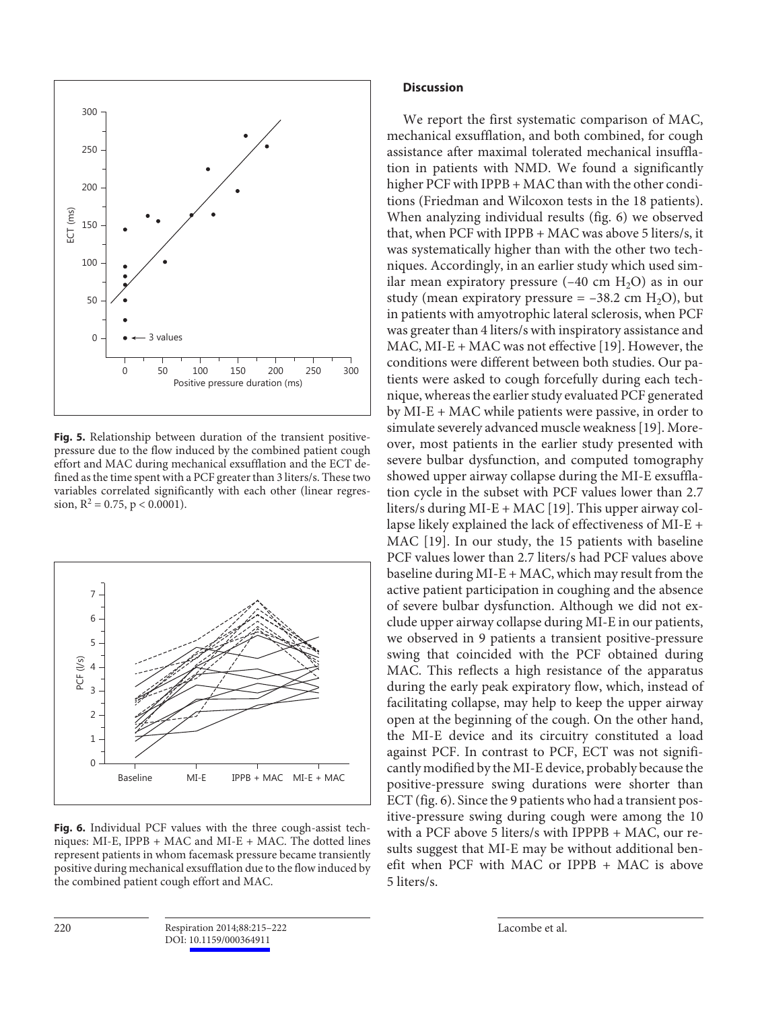

**Fig. 5.** Relationship between duration of the transient positivepressure due to the flow induced by the combined patient cough effort and MAC during mechanical exsufflation and the ECT defined as the time spent with a PCF greater than 3 liters/s. These two variables correlated significantly with each other (linear regression,  $R^2 = 0.75$ ,  $p < 0.0001$ ).



**Fig. 6.** Individual PCF values with the three cough-assist techniques: MI-E, IPPB + MAC and MI-E + MAC. The dotted lines represent patients in whom facemask pressure became transiently positive during mechanical exsufflation due to the flow induced by the combined patient cough effort and MAC.

# **Discussion**

 We report the first systematic comparison of MAC, mechanical exsufflation, and both combined, for cough assistance after maximal tolerated mechanical insufflation in patients with NMD. We found a significantly higher PCF with IPPB + MAC than with the other conditions (Friedman and Wilcoxon tests in the 18 patients). When analyzing individual results (fig. 6) we observed that, when PCF with IPPB + MAC was above 5 liters/s, it was systematically higher than with the other two techniques. Accordingly, in an earlier study which used similar mean expiratory pressure  $(-40 \text{ cm } H<sub>2</sub>O)$  as in our study (mean expiratory pressure  $= -38.2$  cm H<sub>2</sub>O), but in patients with amyotrophic lateral sclerosis, when PCF was greater than 4 liters/s with inspiratory assistance and MAC, MI-E + MAC was not effective [19]. However, the conditions were different between both studies. Our patients were asked to cough forcefully during each technique, whereas the earlier study evaluated PCF generated by MI-E + MAC while patients were passive, in order to simulate severely advanced muscle weakness [19] . Moreover, most patients in the earlier study presented with severe bulbar dysfunction, and computed tomography showed upper airway collapse during the MI-E exsufflation cycle in the subset with PCF values lower than 2.7 liters/s during MI-E + MAC [19] . This upper airway collapse likely explained the lack of effectiveness of MI-E + MAC [19]. In our study, the 15 patients with baseline PCF values lower than 2.7 liters/s had PCF values above baseline during  $MI-E + MAC$ , which may result from the active patient participation in coughing and the absence of severe bulbar dysfunction. Although we did not exclude upper airway collapse during MI-E in our patients, we observed in 9 patients a transient positive-pressure swing that coincided with the PCF obtained during MAC. This reflects a high resistance of the apparatus during the early peak expiratory flow, which, instead of facilitating collapse, may help to keep the upper airway open at the beginning of the cough. On the other hand, the MI-E device and its circuitry constituted a load against PCF. In contrast to PCF, ECT was not significantly modified by the MI-E device, probably because the positive-pressure swing durations were shorter than ECT (fig. 6). Since the 9 patients who had a transient positive-pressure swing during cough were among the 10 with a PCF above 5 liters/s with IPPPB + MAC, our results suggest that MI-E may be without additional benefit when PCF with MAC or IPPB + MAC is above 5 liters/s.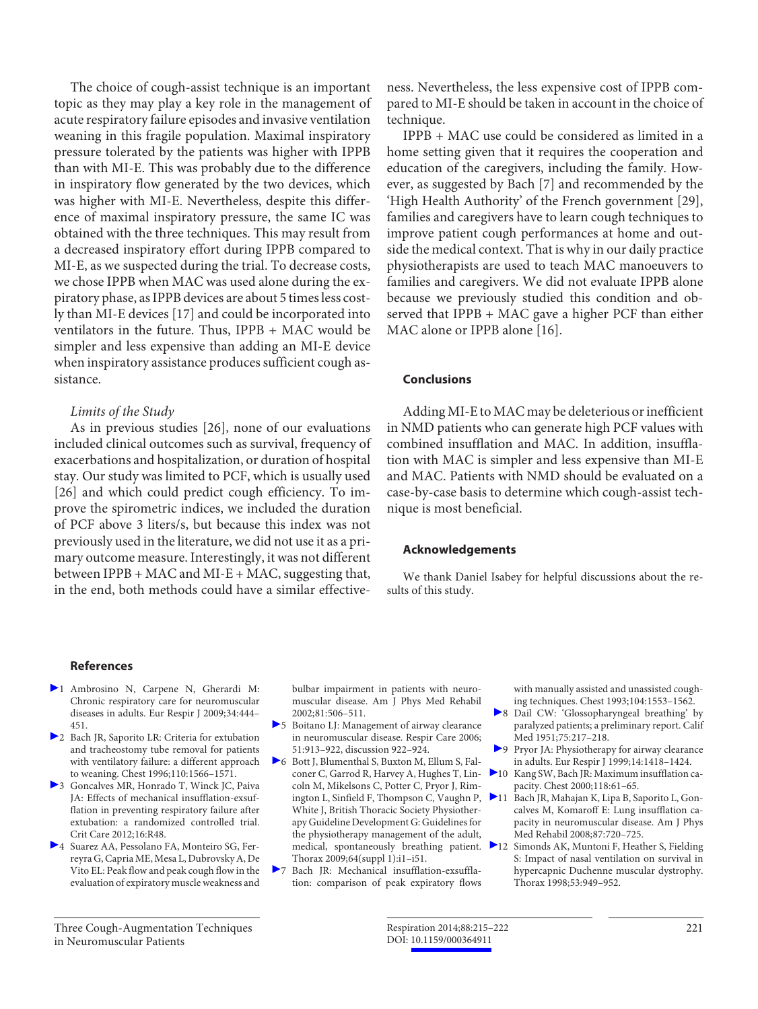The choice of cough-assist technique is an important topic as they may play a key role in the management of acute respiratory failure episodes and invasive ventilation weaning in this fragile population. Maximal inspiratory pressure tolerated by the patients was higher with IPPB than with MI-E. This was probably due to the difference in inspiratory flow generated by the two devices, which was higher with MI-E. Nevertheless, despite this difference of maximal inspiratory pressure, the same IC was obtained with the three techniques. This may result from a decreased inspiratory effort during IPPB compared to MI-E, as we suspected during the trial. To decrease costs, we chose IPPB when MAC was used alone during the expiratory phase, as IPPB devices are about 5 times less costly than MI-E devices [17] and could be incorporated into ventilators in the future. Thus, IPPB + MAC would be simpler and less expensive than adding an MI-E device when inspiratory assistance produces sufficient cough assistance.

## *Limits of the Study*

As in previous studies [26], none of our evaluations included clinical outcomes such as survival, frequency of exacerbations and hospitalization, or duration of hospital stay. Our study was limited to PCF, which is usually used [26] and which could predict cough efficiency. To improve the spirometric indices, we included the duration of PCF above 3 liters/s, but because this index was not previously used in the literature, we did not use it as a primary outcome measure. Interestingly, it was not different between IPPB + MAC and MI-E + MAC, suggesting that, in the end, both methods could have a similar effectiveness. Nevertheless, the less expensive cost of IPPB compared to MI-E should be taken in account in the choice of technique.

 IPPB + MAC use could be considered as limited in a home setting given that it requires the cooperation and education of the caregivers, including the family. However, as suggested by Bach [7] and recommended by the 'High Health Authority' of the French government [29], families and caregivers have to learn cough techniques to improve patient cough performances at home and outside the medical context. That is why in our daily practice physiotherapists are used to teach MAC manoeuvers to families and caregivers. We did not evaluate IPPB alone because we previously studied this condition and observed that IPPB + MAC gave a higher PCF than either MAC alone or IPPB alone [16].

# **Conclusions**

 Adding MI-E to MAC may be deleterious or inefficient in NMD patients who can generate high PCF values with combined insufflation and MAC. In addition, insufflation with MAC is simpler and less expensive than MI-E and MAC. Patients with NMD should be evaluated on a case-by-case basis to determine which cough-assist technique is most beneficial.

# **Acknowledgements**

 We thank Daniel Isabey for helpful discussions about the results of this study.

- 1 Ambrosino N, Carpene N, Gherardi M: Chronic respiratory care for neuromuscular diseases in adults. Eur Respir J 2009;34:444– 451.
- 2 Bach JR, Saporito LR: Criteria for extubation and tracheostomy tube removal for patients with ventilatory failure: a different approach to weaning. Chest 1996;110:1566–1571.
- 3 Goncalves MR, Honrado T, Winck JC, Paiva JA: Effects of mechanical insufflation-exsufflation in preventing respiratory failure after extubation: a randomized controlled trial. Crit Care 2012;16:R48.
- 4 Suarez AA, Pessolano FA, Monteiro SG, Ferreyra G, Capria ME, Mesa L, Dubrovsky A, De Vito EL: Peak flow and peak cough flow in the evaluation of expiratory muscle weakness and

bulbar impairment in patients with neuromuscular disease. Am J Phys Med Rehabil 2002;81:506–511.

- 5 Boitano LJ: Management of airway clearance in neuromuscular disease. Respir Care 2006; 51:913–922, discussion 922–924.
- 6 Bott J, Blumenthal S, Buxton M, Ellum S, Falconer C, Garrod R, Harvey A, Hughes T, Lincoln M, Mikelsons C, Potter C, Pryor J, Rimington L, Sinfield F, Thompson C, Vaughn P, White J, British Thoracic Society Physiotherapy Guideline Development G: Guidelines for the physiotherapy management of the adult, medical, spontaneously breathing patient. Thorax 2009;64(suppl 1):i1–i51.
- 7 Bach JR: Mechanical insufflation-exsufflation: comparison of peak expiratory flows

with manually assisted and unassisted coughing techniques. Chest 1993;104:1553–1562.

- 8 Dail CW: 'Glossopharyngeal breathing' by paralyzed patients; a preliminary report. Calif Med 1951;75:217–218.
- 9 Pryor JA: Physiotherapy for airway clearance in adults. Eur Respir J 1999;14:1418–1424.
- 10 Kang SW, Bach JR: Maximum insufflation capacity. Chest 2000;118:61–65.
- 11 Bach JR, Mahajan K, Lipa B, Saporito L, Goncalves M, Komaroff E: Lung insufflation capacity in neuromuscular disease. Am J Phys Med Rehabil 2008;87:720–725.
- 12 Simonds AK, Muntoni F, Heather S, Fielding S: Impact of nasal ventilation on survival in hypercapnic Duchenne muscular dystrophy. Thorax 1998;53:949–952.

 Three Cough-Augmentation Techniques in Neuromuscular Patients